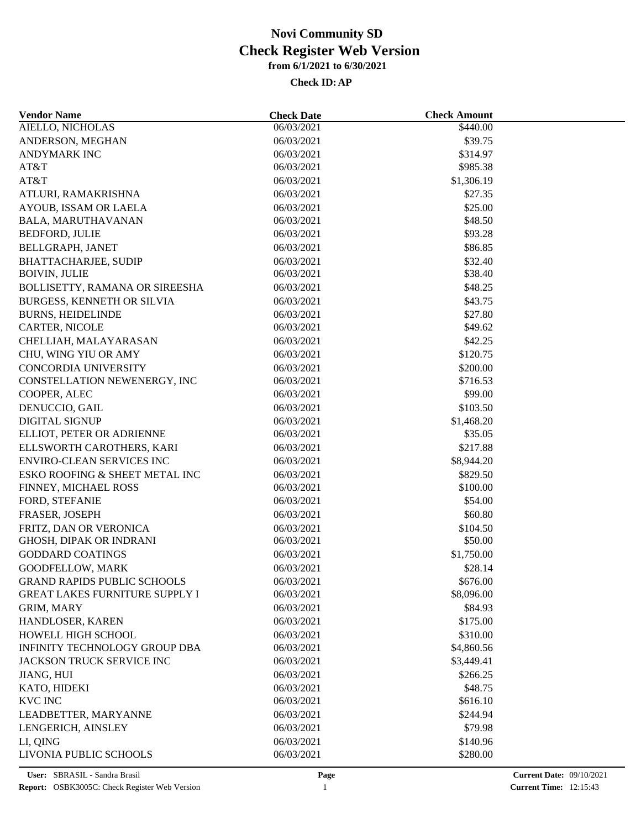| <b>Vendor Name</b>                    | <b>Check Date</b>        | <b>Check Amount</b>  |  |
|---------------------------------------|--------------------------|----------------------|--|
| AIELLO, NICHOLAS                      | 06/03/2021               | \$440.00             |  |
| ANDERSON, MEGHAN                      | 06/03/2021               | \$39.75              |  |
| <b>ANDYMARK INC</b>                   | 06/03/2021               | \$314.97             |  |
| AT&T                                  | 06/03/2021               | \$985.38             |  |
| AT&T                                  | 06/03/2021               | \$1,306.19           |  |
| ATLURI, RAMAKRISHNA                   | 06/03/2021               | \$27.35              |  |
| AYOUB, ISSAM OR LAELA                 | 06/03/2021               | \$25.00              |  |
| BALA, MARUTHAVANAN                    | 06/03/2021               | \$48.50              |  |
| <b>BEDFORD, JULIE</b>                 | 06/03/2021               | \$93.28              |  |
| BELLGRAPH, JANET                      | 06/03/2021               | \$86.85              |  |
| <b>BHATTACHARJEE, SUDIP</b>           | 06/03/2021               | \$32.40              |  |
| <b>BOIVIN, JULIE</b>                  | 06/03/2021               | \$38.40              |  |
| BOLLISETTY, RAMANA OR SIREESHA        | 06/03/2021               | \$48.25              |  |
| BURGESS, KENNETH OR SILVIA            | 06/03/2021               | \$43.75              |  |
| <b>BURNS, HEIDELINDE</b>              | 06/03/2021               | \$27.80              |  |
| CARTER, NICOLE                        | 06/03/2021               | \$49.62              |  |
| CHELLIAH, MALAYARASAN                 | 06/03/2021               | \$42.25              |  |
| CHU, WING YIU OR AMY                  | 06/03/2021               | \$120.75             |  |
| <b>CONCORDIA UNIVERSITY</b>           | 06/03/2021               | \$200.00             |  |
| CONSTELLATION NEWENERGY, INC          | 06/03/2021               | \$716.53             |  |
| COOPER, ALEC                          | 06/03/2021               | \$99.00              |  |
| DENUCCIO, GAIL                        | 06/03/2021               | \$103.50             |  |
| DIGITAL SIGNUP                        | 06/03/2021               | \$1,468.20           |  |
| ELLIOT, PETER OR ADRIENNE             | 06/03/2021               | \$35.05              |  |
| ELLSWORTH CAROTHERS, KARI             | 06/03/2021               | \$217.88             |  |
| <b>ENVIRO-CLEAN SERVICES INC</b>      | 06/03/2021               | \$8,944.20           |  |
|                                       |                          |                      |  |
| ESKO ROOFING & SHEET METAL INC        | 06/03/2021<br>06/03/2021 | \$829.50<br>\$100.00 |  |
| FINNEY, MICHAEL ROSS                  |                          | \$54.00              |  |
| FORD, STEFANIE                        | 06/03/2021               |                      |  |
| FRASER, JOSEPH                        | 06/03/2021               | \$60.80              |  |
| FRITZ, DAN OR VERONICA                | 06/03/2021               | \$104.50             |  |
| <b>GHOSH, DIPAK OR INDRANI</b>        | 06/03/2021               | \$50.00              |  |
| <b>GODDARD COATINGS</b>               | 06/03/2021               | \$1,750.00           |  |
| GOODFELLOW, MARK                      | 06/03/2021               | \$28.14              |  |
| <b>GRAND RAPIDS PUBLIC SCHOOLS</b>    | 06/03/2021               | \$676.00             |  |
| <b>GREAT LAKES FURNITURE SUPPLY I</b> | 06/03/2021               | \$8,096.00           |  |
| GRIM, MARY                            | 06/03/2021               | \$84.93              |  |
| HANDLOSER, KAREN                      | 06/03/2021               | \$175.00             |  |
| HOWELL HIGH SCHOOL                    | 06/03/2021               | \$310.00             |  |
| INFINITY TECHNOLOGY GROUP DBA         | 06/03/2021               | \$4,860.56           |  |
| JACKSON TRUCK SERVICE INC             | 06/03/2021               | \$3,449.41           |  |
| JIANG, HUI                            | 06/03/2021               | \$266.25             |  |
| KATO, HIDEKI                          | 06/03/2021               | \$48.75              |  |
| <b>KVC INC</b>                        | 06/03/2021               | \$616.10             |  |
| LEADBETTER, MARYANNE                  | 06/03/2021               | \$244.94             |  |
| LENGERICH, AINSLEY                    | 06/03/2021               | \$79.98              |  |
| LI, QING                              | 06/03/2021               | \$140.96             |  |
| LIVONIA PUBLIC SCHOOLS                | 06/03/2021               | \$280.00             |  |
|                                       |                          |                      |  |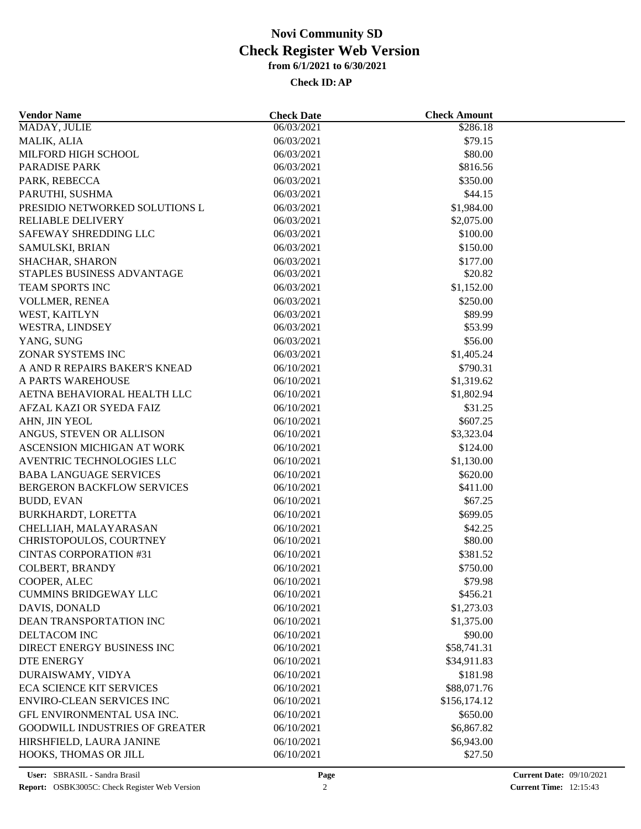| <b>Vendor Name</b>                    | <b>Check Date</b> | <b>Check Amount</b>  |  |
|---------------------------------------|-------------------|----------------------|--|
| MADAY, JULIE                          | 06/03/2021        | $\overline{$}286.18$ |  |
| <b>MALIK, ALIA</b>                    | 06/03/2021        | \$79.15              |  |
| MILFORD HIGH SCHOOL                   | 06/03/2021        | \$80.00              |  |
| PARADISE PARK                         | 06/03/2021        | \$816.56             |  |
| PARK, REBECCA                         | 06/03/2021        | \$350.00             |  |
| PARUTHI, SUSHMA                       | 06/03/2021        | \$44.15              |  |
| PRESIDIO NETWORKED SOLUTIONS L        | 06/03/2021        | \$1,984.00           |  |
| <b>RELIABLE DELIVERY</b>              | 06/03/2021        | \$2,075.00           |  |
| SAFEWAY SHREDDING LLC                 | 06/03/2021        | \$100.00             |  |
| SAMULSKI, BRIAN                       | 06/03/2021        | \$150.00             |  |
| SHACHAR, SHARON                       | 06/03/2021        | \$177.00             |  |
| STAPLES BUSINESS ADVANTAGE            | 06/03/2021        | \$20.82              |  |
| TEAM SPORTS INC                       | 06/03/2021        | \$1,152.00           |  |
| VOLLMER, RENEA                        | 06/03/2021        | \$250.00             |  |
| WEST, KAITLYN                         | 06/03/2021        | \$89.99              |  |
| WESTRA, LINDSEY                       | 06/03/2021        | \$53.99              |  |
| YANG, SUNG                            | 06/03/2021        | \$56.00              |  |
| ZONAR SYSTEMS INC                     | 06/03/2021        | \$1,405.24           |  |
| A AND R REPAIRS BAKER'S KNEAD         | 06/10/2021        | \$790.31             |  |
| A PARTS WAREHOUSE                     | 06/10/2021        | \$1,319.62           |  |
| AETNA BEHAVIORAL HEALTH LLC           | 06/10/2021        | \$1,802.94           |  |
| AFZAL KAZI OR SYEDA FAIZ              | 06/10/2021        | \$31.25              |  |
| AHN, JIN YEOL                         | 06/10/2021        | \$607.25             |  |
| ANGUS, STEVEN OR ALLISON              | 06/10/2021        | \$3,323.04           |  |
| ASCENSION MICHIGAN AT WORK            | 06/10/2021        | \$124.00             |  |
| AVENTRIC TECHNOLOGIES LLC             |                   |                      |  |
|                                       | 06/10/2021        | \$1,130.00           |  |
| <b>BABA LANGUAGE SERVICES</b>         | 06/10/2021        | \$620.00             |  |
| BERGERON BACKFLOW SERVICES            | 06/10/2021        | \$411.00             |  |
| <b>BUDD, EVAN</b>                     | 06/10/2021        | \$67.25              |  |
| BURKHARDT, LORETTA                    | 06/10/2021        | \$699.05             |  |
| CHELLIAH, MALAYARASAN                 | 06/10/2021        | \$42.25              |  |
| CHRISTOPOULOS, COURTNEY               | 06/10/2021        | \$80.00              |  |
| <b>CINTAS CORPORATION #31</b>         | 06/10/2021        | \$381.52             |  |
| <b>COLBERT, BRANDY</b>                | 06/10/2021        | \$750.00             |  |
| COOPER, ALEC                          | 06/10/2021        | \$79.98              |  |
| <b>CUMMINS BRIDGEWAY LLC</b>          | 06/10/2021        | \$456.21             |  |
| DAVIS, DONALD                         | 06/10/2021        | \$1,273.03           |  |
| DEAN TRANSPORTATION INC               | 06/10/2021        | \$1,375.00           |  |
| DELTACOM INC                          | 06/10/2021        | \$90.00              |  |
| DIRECT ENERGY BUSINESS INC            | 06/10/2021        | \$58,741.31          |  |
| <b>DTE ENERGY</b>                     | 06/10/2021        | \$34,911.83          |  |
| DURAISWAMY, VIDYA                     | 06/10/2021        | \$181.98             |  |
| <b>ECA SCIENCE KIT SERVICES</b>       | 06/10/2021        | \$88,071.76          |  |
| <b>ENVIRO-CLEAN SERVICES INC</b>      | 06/10/2021        | \$156,174.12         |  |
| GFL ENVIRONMENTAL USA INC.            | 06/10/2021        | \$650.00             |  |
| <b>GOODWILL INDUSTRIES OF GREATER</b> | 06/10/2021        | \$6,867.82           |  |
| HIRSHFIELD, LAURA JANINE              | 06/10/2021        | \$6,943.00           |  |
| HOOKS, THOMAS OR JILL                 | 06/10/2021        | \$27.50              |  |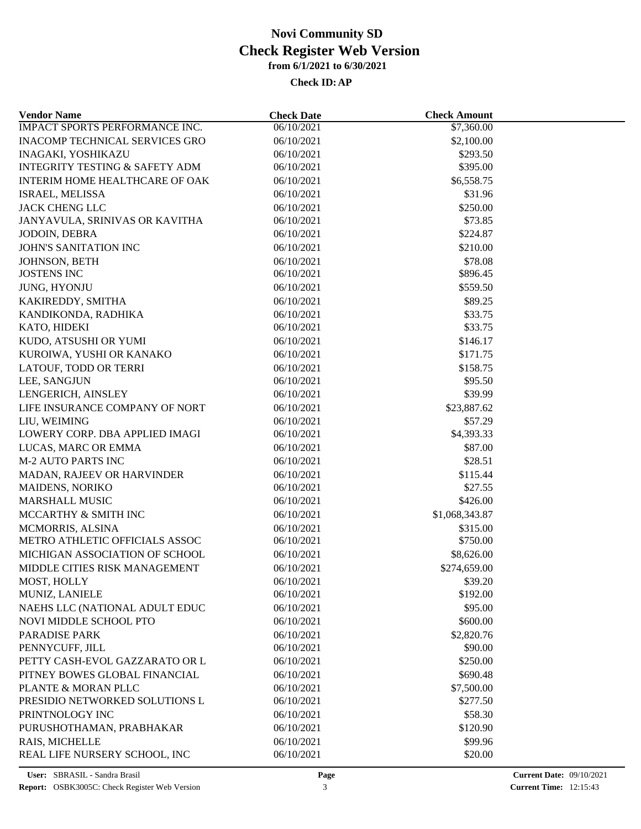| <b>Vendor Name</b>                             | <b>Check Date</b> | <b>Check Amount</b>   |  |
|------------------------------------------------|-------------------|-----------------------|--|
| <b>IMPACT SPORTS PERFORMANCE INC.</b>          | 06/10/2021        | \$7,360.00            |  |
| <b>INACOMP TECHNICAL SERVICES GRO</b>          | 06/10/2021        | \$2,100.00            |  |
| <b>INAGAKI, YOSHIKAZU</b>                      | 06/10/2021        | \$293.50              |  |
| <b>INTEGRITY TESTING &amp; SAFETY ADM</b>      | 06/10/2021        | \$395.00              |  |
| <b>INTERIM HOME HEALTHCARE OF OAK</b>          | 06/10/2021        | \$6,558.75            |  |
| ISRAEL, MELISSA                                | 06/10/2021        | \$31.96               |  |
| <b>JACK CHENG LLC</b>                          | 06/10/2021        | \$250.00              |  |
| JANYAVULA, SRINIVAS OR KAVITHA                 | 06/10/2021        | \$73.85               |  |
| JODOIN, DEBRA                                  | 06/10/2021        | \$224.87              |  |
| JOHN'S SANITATION INC                          | 06/10/2021        | \$210.00              |  |
| JOHNSON, BETH                                  | 06/10/2021        | \$78.08               |  |
| <b>JOSTENS INC</b>                             | 06/10/2021        | \$896.45              |  |
| <b>JUNG, HYONJU</b>                            | 06/10/2021        | \$559.50              |  |
| KAKIREDDY, SMITHA                              | 06/10/2021        | \$89.25               |  |
| KANDIKONDA, RADHIKA                            | 06/10/2021        | \$33.75               |  |
| KATO, HIDEKI                                   | 06/10/2021        | \$33.75               |  |
| KUDO, ATSUSHI OR YUMI                          | 06/10/2021        | \$146.17              |  |
| KUROIWA, YUSHI OR KANAKO                       | 06/10/2021        | \$171.75              |  |
| LATOUF, TODD OR TERRI                          | 06/10/2021        | \$158.75              |  |
| LEE, SANGJUN                                   | 06/10/2021        | \$95.50               |  |
| LENGERICH, AINSLEY                             | 06/10/2021        | \$39.99               |  |
| LIFE INSURANCE COMPANY OF NORT                 | 06/10/2021        | \$23,887.62           |  |
|                                                | 06/10/2021        |                       |  |
| LIU, WEIMING<br>LOWERY CORP. DBA APPLIED IMAGI | 06/10/2021        | \$57.29<br>\$4,393.33 |  |
|                                                |                   | \$87.00               |  |
| LUCAS, MARC OR EMMA                            | 06/10/2021        |                       |  |
| <b>M-2 AUTO PARTS INC</b>                      | 06/10/2021        | \$28.51               |  |
| MADAN, RAJEEV OR HARVINDER                     | 06/10/2021        | \$115.44              |  |
| <b>MAIDENS, NORIKO</b>                         | 06/10/2021        | \$27.55               |  |
| <b>MARSHALL MUSIC</b>                          | 06/10/2021        | \$426.00              |  |
| MCCARTHY & SMITH INC                           | 06/10/2021        | \$1,068,343.87        |  |
| MCMORRIS, ALSINA                               | 06/10/2021        | \$315.00              |  |
| METRO ATHLETIC OFFICIALS ASSOC                 | 06/10/2021        | \$750.00              |  |
| MICHIGAN ASSOCIATION OF SCHOOL                 | 06/10/2021        | \$8,626.00            |  |
| MIDDLE CITIES RISK MANAGEMENT                  | 06/10/2021        | \$274,659.00          |  |
| MOST, HOLLY                                    | 06/10/2021        | \$39.20               |  |
| MUNIZ, LANIELE                                 | 06/10/2021        | \$192.00              |  |
| NAEHS LLC (NATIONAL ADULT EDUC                 | 06/10/2021        | \$95.00               |  |
| NOVI MIDDLE SCHOOL PTO                         | 06/10/2021        | \$600.00              |  |
| PARADISE PARK                                  | 06/10/2021        | \$2,820.76            |  |
| PENNYCUFF, JILL                                | 06/10/2021        | \$90.00               |  |
| PETTY CASH-EVOL GAZZARATO OR L                 | 06/10/2021        | \$250.00              |  |
| PITNEY BOWES GLOBAL FINANCIAL                  | 06/10/2021        | \$690.48              |  |
| PLANTE & MORAN PLLC                            | 06/10/2021        | \$7,500.00            |  |
| PRESIDIO NETWORKED SOLUTIONS L                 | 06/10/2021        | \$277.50              |  |
| PRINTNOLOGY INC                                | 06/10/2021        | \$58.30               |  |
| PURUSHOTHAMAN, PRABHAKAR                       | 06/10/2021        | \$120.90              |  |
| RAIS, MICHELLE                                 | 06/10/2021        | \$99.96               |  |
| REAL LIFE NURSERY SCHOOL, INC                  | 06/10/2021        | \$20.00               |  |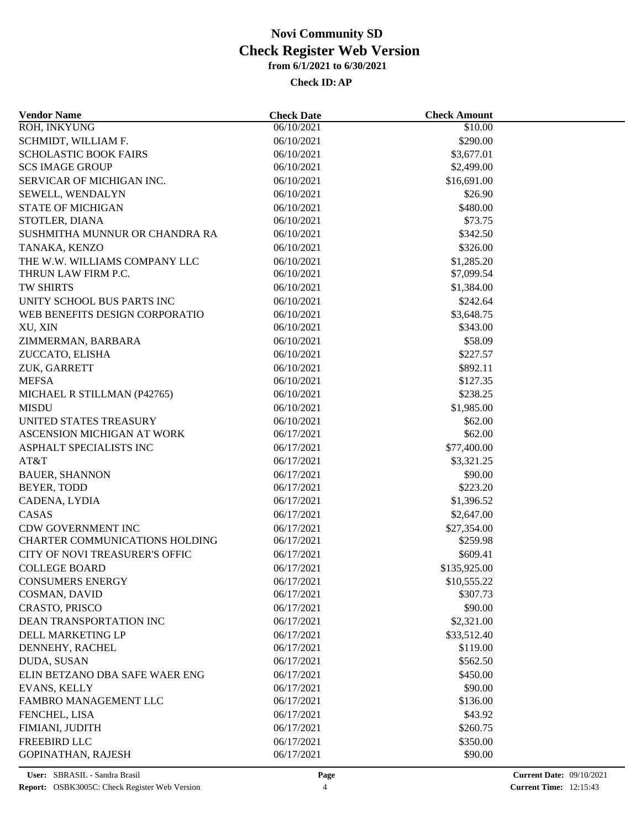| <b>Vendor Name</b>                    | <b>Check Date</b> | <b>Check Amount</b> |  |
|---------------------------------------|-------------------|---------------------|--|
| ROH, INKYUNG                          | 06/10/2021        | \$10.00             |  |
| SCHMIDT, WILLIAM F.                   | 06/10/2021        | \$290.00            |  |
| <b>SCHOLASTIC BOOK FAIRS</b>          | 06/10/2021        | \$3,677.01          |  |
| <b>SCS IMAGE GROUP</b>                | 06/10/2021        | \$2,499.00          |  |
| SERVICAR OF MICHIGAN INC.             | 06/10/2021        | \$16,691.00         |  |
| SEWELL, WENDALYN                      | 06/10/2021        | \$26.90             |  |
| <b>STATE OF MICHIGAN</b>              | 06/10/2021        | \$480.00            |  |
| STOTLER, DIANA                        | 06/10/2021        | \$73.75             |  |
| SUSHMITHA MUNNUR OR CHANDRA RA        | 06/10/2021        | \$342.50            |  |
| TANAKA, KENZO                         | 06/10/2021        | \$326.00            |  |
| THE W.W. WILLIAMS COMPANY LLC         | 06/10/2021        | \$1,285.20          |  |
| THRUN LAW FIRM P.C.                   | 06/10/2021        | \$7,099.54          |  |
| TW SHIRTS                             | 06/10/2021        | \$1,384.00          |  |
| UNITY SCHOOL BUS PARTS INC            | 06/10/2021        | \$242.64            |  |
| WEB BENEFITS DESIGN CORPORATIO        | 06/10/2021        | \$3,648.75          |  |
| XU, XIN                               | 06/10/2021        | \$343.00            |  |
| ZIMMERMAN, BARBARA                    | 06/10/2021        | \$58.09             |  |
| ZUCCATO, ELISHA                       | 06/10/2021        | \$227.57            |  |
| ZUK, GARRETT                          | 06/10/2021        | \$892.11            |  |
| <b>MEFSA</b>                          | 06/10/2021        | \$127.35            |  |
| MICHAEL R STILLMAN (P42765)           | 06/10/2021        | \$238.25            |  |
| <b>MISDU</b>                          | 06/10/2021        | \$1,985.00          |  |
| UNITED STATES TREASURY                | 06/10/2021        | \$62.00             |  |
| ASCENSION MICHIGAN AT WORK            | 06/17/2021        | \$62.00             |  |
| ASPHALT SPECIALISTS INC               | 06/17/2021        | \$77,400.00         |  |
| AT&T                                  | 06/17/2021        | \$3,321.25          |  |
|                                       |                   |                     |  |
| <b>BAUER, SHANNON</b>                 | 06/17/2021        | \$90.00             |  |
| BEYER, TODD                           | 06/17/2021        | \$223.20            |  |
| CADENA, LYDIA                         | 06/17/2021        | \$1,396.52          |  |
| CASAS                                 | 06/17/2021        | \$2,647.00          |  |
| CDW GOVERNMENT INC                    | 06/17/2021        | \$27,354.00         |  |
| <b>CHARTER COMMUNICATIONS HOLDING</b> | 06/17/2021        | \$259.98            |  |
| CITY OF NOVI TREASURER'S OFFIC        | 06/17/2021        | \$609.41            |  |
| <b>COLLEGE BOARD</b>                  | 06/17/2021        | \$135,925.00        |  |
| CONSUMERS ENERGY                      | 06/17/2021        | \$10,555.22         |  |
| COSMAN, DAVID                         | 06/17/2021        | \$307.73            |  |
| CRASTO, PRISCO                        | 06/17/2021        | \$90.00             |  |
| DEAN TRANSPORTATION INC               | 06/17/2021        | \$2,321.00          |  |
| DELL MARKETING LP                     | 06/17/2021        | \$33,512.40         |  |
| DENNEHY, RACHEL                       | 06/17/2021        | \$119.00            |  |
| DUDA, SUSAN                           | 06/17/2021        | \$562.50            |  |
| ELIN BETZANO DBA SAFE WAER ENG        | 06/17/2021        | \$450.00            |  |
| <b>EVANS, KELLY</b>                   | 06/17/2021        | \$90.00             |  |
| FAMBRO MANAGEMENT LLC                 | 06/17/2021        | \$136.00            |  |
| FENCHEL, LISA                         | 06/17/2021        | \$43.92             |  |
| FIMIANI, JUDITH                       | 06/17/2021        | \$260.75            |  |
| FREEBIRD LLC                          | 06/17/2021        | \$350.00            |  |
| <b>GOPINATHAN, RAJESH</b>             | 06/17/2021        | \$90.00             |  |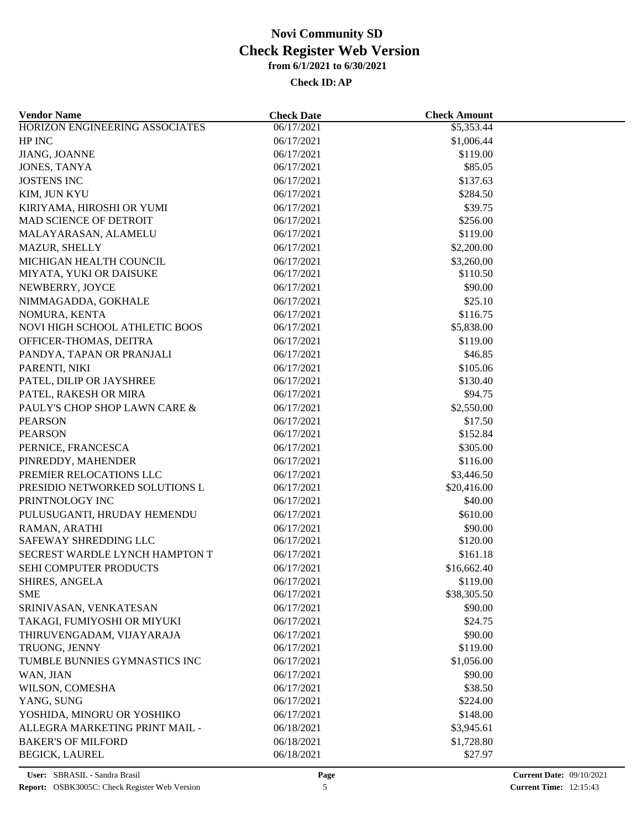| <b>Vendor Name</b>               | <b>Check Date</b> | <b>Check Amount</b> |  |
|----------------------------------|-------------------|---------------------|--|
| HORIZON ENGINEERING ASSOCIATES   | 06/17/2021        | \$5,353.44          |  |
| HP INC                           | 06/17/2021        | \$1,006.44          |  |
| JIANG, JOANNE                    | 06/17/2021        | \$119.00            |  |
| JONES, TANYA                     | 06/17/2021        | \$85.05             |  |
| <b>JOSTENS INC</b>               | 06/17/2021        | \$137.63            |  |
| KIM, JUN KYU                     | 06/17/2021        | \$284.50            |  |
| KIRIYAMA, HIROSHI OR YUMI        | 06/17/2021        | \$39.75             |  |
| MAD SCIENCE OF DETROIT           | 06/17/2021        | \$256.00            |  |
| MALAYARASAN, ALAMELU             | 06/17/2021        | \$119.00            |  |
| <b>MAZUR, SHELLY</b>             | 06/17/2021        | \$2,200.00          |  |
| MICHIGAN HEALTH COUNCIL          | 06/17/2021        | \$3,260.00          |  |
| MIYATA, YUKI OR DAISUKE          | 06/17/2021        | \$110.50            |  |
| NEWBERRY, JOYCE                  | 06/17/2021        | \$90.00             |  |
| NIMMAGADDA, GOKHALE              | 06/17/2021        | \$25.10             |  |
| NOMURA, KENTA                    | 06/17/2021        | \$116.75            |  |
| NOVI HIGH SCHOOL ATHLETIC BOOS   | 06/17/2021        | \$5,838.00          |  |
| OFFICER-THOMAS, DEITRA           | 06/17/2021        | \$119.00            |  |
| PANDYA, TAPAN OR PRANJALI        | 06/17/2021        | \$46.85             |  |
| PARENTI, NIKI                    | 06/17/2021        | \$105.06            |  |
| PATEL, DILIP OR JAYSHREE         | 06/17/2021        | \$130.40            |  |
| PATEL, RAKESH OR MIRA            | 06/17/2021        | \$94.75             |  |
| PAULY'S CHOP SHOP LAWN CARE &    | 06/17/2021        | \$2,550.00          |  |
|                                  | 06/17/2021        |                     |  |
| <b>PEARSON</b><br><b>PEARSON</b> | 06/17/2021        | \$17.50<br>\$152.84 |  |
|                                  |                   | \$305.00            |  |
| PERNICE, FRANCESCA               | 06/17/2021        |                     |  |
| PINREDDY, MAHENDER               | 06/17/2021        | \$116.00            |  |
| PREMIER RELOCATIONS LLC          | 06/17/2021        | \$3,446.50          |  |
| PRESIDIO NETWORKED SOLUTIONS L   | 06/17/2021        | \$20,416.00         |  |
| PRINTNOLOGY INC                  | 06/17/2021        | \$40.00             |  |
| PULUSUGANTI, HRUDAY HEMENDU      | 06/17/2021        | \$610.00            |  |
| RAMAN, ARATHI                    | 06/17/2021        | \$90.00             |  |
| SAFEWAY SHREDDING LLC            | 06/17/2021        | \$120.00            |  |
| SECREST WARDLE LYNCH HAMPTON T   | 06/17/2021        | \$161.18            |  |
| SEHI COMPUTER PRODUCTS           | 06/17/2021        | \$16,662.40         |  |
| SHIRES, ANGELA                   | 06/17/2021        | \$119.00            |  |
| <b>SME</b>                       | 06/17/2021        | \$38,305.50         |  |
| SRINIVASAN, VENKATESAN           | 06/17/2021        | \$90.00             |  |
| TAKAGI, FUMIYOSHI OR MIYUKI      | 06/17/2021        | \$24.75             |  |
| THIRUVENGADAM, VIJAYARAJA        | 06/17/2021        | \$90.00             |  |
| TRUONG, JENNY                    | 06/17/2021        | \$119.00            |  |
| TUMBLE BUNNIES GYMNASTICS INC    | 06/17/2021        | \$1,056.00          |  |
| WAN, JIAN                        | 06/17/2021        | \$90.00             |  |
| WILSON, COMESHA                  | 06/17/2021        | \$38.50             |  |
| YANG, SUNG                       | 06/17/2021        | \$224.00            |  |
| YOSHIDA, MINORU OR YOSHIKO       | 06/17/2021        | \$148.00            |  |
| ALLEGRA MARKETING PRINT MAIL -   | 06/18/2021        | \$3,945.61          |  |
| <b>BAKER'S OF MILFORD</b>        | 06/18/2021        | \$1,728.80          |  |
| <b>BEGICK, LAUREL</b>            | 06/18/2021        | \$27.97             |  |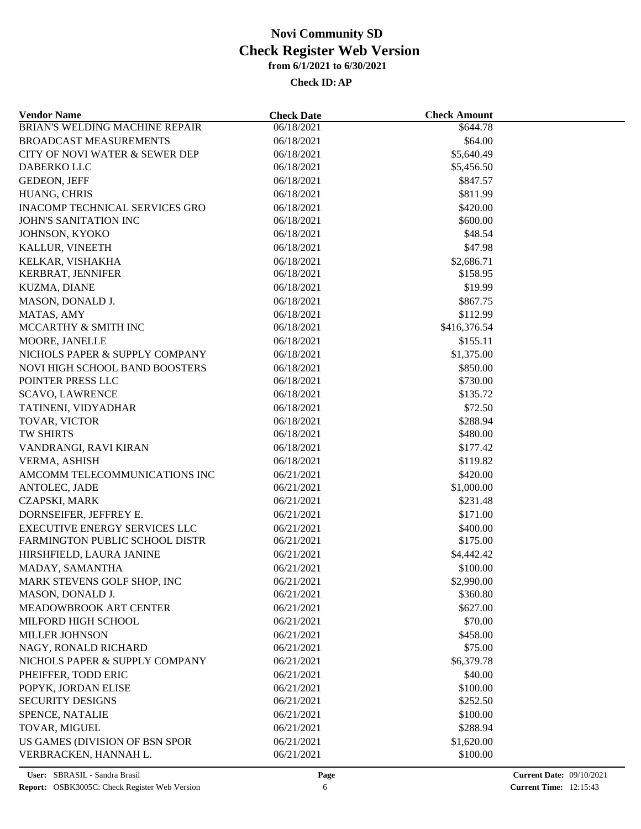| BRIAN'S WELDING MACHINE REPAIR<br>06/18/2021<br>\$644.78<br>\$64.00<br><b>BROADCAST MEASUREMENTS</b><br>06/18/2021<br>CITY OF NOVI WATER & SEWER DEP<br>06/18/2021<br>\$5,640.49<br>DABERKO LLC<br>06/18/2021<br>\$5,456.50<br>GEDEON, JEFF<br>06/18/2021<br>\$847.57<br>HUANG, CHRIS<br>06/18/2021<br>\$811.99<br><b>INACOMP TECHNICAL SERVICES GRO</b><br>\$420.00<br>06/18/2021<br>\$600.00<br><b>JOHN'S SANITATION INC</b><br>06/18/2021<br>\$48.54<br>JOHNSON, KYOKO<br>06/18/2021<br>\$47.98<br>KALLUR, VINEETH<br>06/18/2021<br>KELKAR, VISHAKHA<br>06/18/2021<br>\$2,686.71<br>KERBRAT, JENNIFER<br>06/18/2021<br>\$158.95<br>KUZMA, DIANE<br>06/18/2021<br>\$19.99<br>\$867.75<br>MASON, DONALD J.<br>06/18/2021<br>\$112.99<br>MATAS, AMY<br>06/18/2021<br>MCCARTHY & SMITH INC<br>06/18/2021<br>\$416,376.54<br>\$155.11<br>MOORE, JANELLE<br>06/18/2021<br>NICHOLS PAPER & SUPPLY COMPANY<br>\$1,375.00<br>06/18/2021<br>06/18/2021<br>\$850.00<br><b>NOVI HIGH SCHOOL BAND BOOSTERS</b><br>POINTER PRESS LLC<br>06/18/2021<br>\$730.00<br><b>SCAVO, LAWRENCE</b><br>06/18/2021<br>\$135.72<br>\$72.50<br>TATINENI, VIDYADHAR<br>06/18/2021<br>TOVAR, VICTOR<br>06/18/2021<br>\$288.94<br>TW SHIRTS<br>06/18/2021<br>\$480.00<br>VANDRANGI, RAVI KIRAN<br>06/18/2021<br>\$177.42<br>\$119.82<br>VERMA, ASHISH<br>06/18/2021<br>\$420.00<br>AMCOMM TELECOMMUNICATIONS INC<br>06/21/2021<br>ANTOLEC, JADE<br>06/21/2021<br>\$1,000.00<br><b>CZAPSKI, MARK</b><br>06/21/2021<br>\$231.48<br>DORNSEIFER, JEFFREY E.<br>06/21/2021<br>\$171.00<br>EXECUTIVE ENERGY SERVICES LLC<br>\$400.00<br>06/21/2021<br>FARMINGTON PUBLIC SCHOOL DISTR<br>06/21/2021<br>\$175.00<br>HIRSHFIELD, LAURA JANINE<br>06/21/2021<br>\$4,442.42<br>MADAY, SAMANTHA<br>06/21/2021<br>\$100.00<br>MARK STEVENS GOLF SHOP, INC<br>\$2,990.00<br>06/21/2021<br>MASON, DONALD J.<br>06/21/2021<br>\$360.80<br>\$627.00<br>MEADOWBROOK ART CENTER<br>06/21/2021<br>MILFORD HIGH SCHOOL<br>\$70.00<br>06/21/2021<br><b>MILLER JOHNSON</b><br>06/21/2021<br>\$458.00<br>NAGY, RONALD RICHARD<br>06/21/2021<br>\$75.00<br>NICHOLS PAPER & SUPPLY COMPANY<br>06/21/2021<br>\$6,379.78<br>\$40.00<br>PHEIFFER, TODD ERIC<br>06/21/2021<br>POPYK, JORDAN ELISE<br>06/21/2021<br>\$100.00<br><b>SECURITY DESIGNS</b><br>06/21/2021<br>\$252.50<br>SPENCE, NATALIE<br>06/21/2021<br>\$100.00<br>TOVAR, MIGUEL<br>06/21/2021<br>\$288.94<br>US GAMES (DIVISION OF BSN SPOR<br>\$1,620.00<br>06/21/2021<br>VERBRACKEN, HANNAH L.<br>\$100.00<br>06/21/2021 | <b>Vendor Name</b> | <b>Check Date</b> | <b>Check Amount</b> |  |
|---------------------------------------------------------------------------------------------------------------------------------------------------------------------------------------------------------------------------------------------------------------------------------------------------------------------------------------------------------------------------------------------------------------------------------------------------------------------------------------------------------------------------------------------------------------------------------------------------------------------------------------------------------------------------------------------------------------------------------------------------------------------------------------------------------------------------------------------------------------------------------------------------------------------------------------------------------------------------------------------------------------------------------------------------------------------------------------------------------------------------------------------------------------------------------------------------------------------------------------------------------------------------------------------------------------------------------------------------------------------------------------------------------------------------------------------------------------------------------------------------------------------------------------------------------------------------------------------------------------------------------------------------------------------------------------------------------------------------------------------------------------------------------------------------------------------------------------------------------------------------------------------------------------------------------------------------------------------------------------------------------------------------------------------------------------------------------------------------------------------------------------------------------------------------------------------------------------------------------------------------------------------------------------------------------------------------------------------------------------------------------------------------------------------------------------------------------------------------------------------------------------------------------|--------------------|-------------------|---------------------|--|
|                                                                                                                                                                                                                                                                                                                                                                                                                                                                                                                                                                                                                                                                                                                                                                                                                                                                                                                                                                                                                                                                                                                                                                                                                                                                                                                                                                                                                                                                                                                                                                                                                                                                                                                                                                                                                                                                                                                                                                                                                                                                                                                                                                                                                                                                                                                                                                                                                                                                                                                                 |                    |                   |                     |  |
|                                                                                                                                                                                                                                                                                                                                                                                                                                                                                                                                                                                                                                                                                                                                                                                                                                                                                                                                                                                                                                                                                                                                                                                                                                                                                                                                                                                                                                                                                                                                                                                                                                                                                                                                                                                                                                                                                                                                                                                                                                                                                                                                                                                                                                                                                                                                                                                                                                                                                                                                 |                    |                   |                     |  |
|                                                                                                                                                                                                                                                                                                                                                                                                                                                                                                                                                                                                                                                                                                                                                                                                                                                                                                                                                                                                                                                                                                                                                                                                                                                                                                                                                                                                                                                                                                                                                                                                                                                                                                                                                                                                                                                                                                                                                                                                                                                                                                                                                                                                                                                                                                                                                                                                                                                                                                                                 |                    |                   |                     |  |
|                                                                                                                                                                                                                                                                                                                                                                                                                                                                                                                                                                                                                                                                                                                                                                                                                                                                                                                                                                                                                                                                                                                                                                                                                                                                                                                                                                                                                                                                                                                                                                                                                                                                                                                                                                                                                                                                                                                                                                                                                                                                                                                                                                                                                                                                                                                                                                                                                                                                                                                                 |                    |                   |                     |  |
|                                                                                                                                                                                                                                                                                                                                                                                                                                                                                                                                                                                                                                                                                                                                                                                                                                                                                                                                                                                                                                                                                                                                                                                                                                                                                                                                                                                                                                                                                                                                                                                                                                                                                                                                                                                                                                                                                                                                                                                                                                                                                                                                                                                                                                                                                                                                                                                                                                                                                                                                 |                    |                   |                     |  |
|                                                                                                                                                                                                                                                                                                                                                                                                                                                                                                                                                                                                                                                                                                                                                                                                                                                                                                                                                                                                                                                                                                                                                                                                                                                                                                                                                                                                                                                                                                                                                                                                                                                                                                                                                                                                                                                                                                                                                                                                                                                                                                                                                                                                                                                                                                                                                                                                                                                                                                                                 |                    |                   |                     |  |
|                                                                                                                                                                                                                                                                                                                                                                                                                                                                                                                                                                                                                                                                                                                                                                                                                                                                                                                                                                                                                                                                                                                                                                                                                                                                                                                                                                                                                                                                                                                                                                                                                                                                                                                                                                                                                                                                                                                                                                                                                                                                                                                                                                                                                                                                                                                                                                                                                                                                                                                                 |                    |                   |                     |  |
|                                                                                                                                                                                                                                                                                                                                                                                                                                                                                                                                                                                                                                                                                                                                                                                                                                                                                                                                                                                                                                                                                                                                                                                                                                                                                                                                                                                                                                                                                                                                                                                                                                                                                                                                                                                                                                                                                                                                                                                                                                                                                                                                                                                                                                                                                                                                                                                                                                                                                                                                 |                    |                   |                     |  |
|                                                                                                                                                                                                                                                                                                                                                                                                                                                                                                                                                                                                                                                                                                                                                                                                                                                                                                                                                                                                                                                                                                                                                                                                                                                                                                                                                                                                                                                                                                                                                                                                                                                                                                                                                                                                                                                                                                                                                                                                                                                                                                                                                                                                                                                                                                                                                                                                                                                                                                                                 |                    |                   |                     |  |
|                                                                                                                                                                                                                                                                                                                                                                                                                                                                                                                                                                                                                                                                                                                                                                                                                                                                                                                                                                                                                                                                                                                                                                                                                                                                                                                                                                                                                                                                                                                                                                                                                                                                                                                                                                                                                                                                                                                                                                                                                                                                                                                                                                                                                                                                                                                                                                                                                                                                                                                                 |                    |                   |                     |  |
|                                                                                                                                                                                                                                                                                                                                                                                                                                                                                                                                                                                                                                                                                                                                                                                                                                                                                                                                                                                                                                                                                                                                                                                                                                                                                                                                                                                                                                                                                                                                                                                                                                                                                                                                                                                                                                                                                                                                                                                                                                                                                                                                                                                                                                                                                                                                                                                                                                                                                                                                 |                    |                   |                     |  |
|                                                                                                                                                                                                                                                                                                                                                                                                                                                                                                                                                                                                                                                                                                                                                                                                                                                                                                                                                                                                                                                                                                                                                                                                                                                                                                                                                                                                                                                                                                                                                                                                                                                                                                                                                                                                                                                                                                                                                                                                                                                                                                                                                                                                                                                                                                                                                                                                                                                                                                                                 |                    |                   |                     |  |
|                                                                                                                                                                                                                                                                                                                                                                                                                                                                                                                                                                                                                                                                                                                                                                                                                                                                                                                                                                                                                                                                                                                                                                                                                                                                                                                                                                                                                                                                                                                                                                                                                                                                                                                                                                                                                                                                                                                                                                                                                                                                                                                                                                                                                                                                                                                                                                                                                                                                                                                                 |                    |                   |                     |  |
|                                                                                                                                                                                                                                                                                                                                                                                                                                                                                                                                                                                                                                                                                                                                                                                                                                                                                                                                                                                                                                                                                                                                                                                                                                                                                                                                                                                                                                                                                                                                                                                                                                                                                                                                                                                                                                                                                                                                                                                                                                                                                                                                                                                                                                                                                                                                                                                                                                                                                                                                 |                    |                   |                     |  |
|                                                                                                                                                                                                                                                                                                                                                                                                                                                                                                                                                                                                                                                                                                                                                                                                                                                                                                                                                                                                                                                                                                                                                                                                                                                                                                                                                                                                                                                                                                                                                                                                                                                                                                                                                                                                                                                                                                                                                                                                                                                                                                                                                                                                                                                                                                                                                                                                                                                                                                                                 |                    |                   |                     |  |
|                                                                                                                                                                                                                                                                                                                                                                                                                                                                                                                                                                                                                                                                                                                                                                                                                                                                                                                                                                                                                                                                                                                                                                                                                                                                                                                                                                                                                                                                                                                                                                                                                                                                                                                                                                                                                                                                                                                                                                                                                                                                                                                                                                                                                                                                                                                                                                                                                                                                                                                                 |                    |                   |                     |  |
|                                                                                                                                                                                                                                                                                                                                                                                                                                                                                                                                                                                                                                                                                                                                                                                                                                                                                                                                                                                                                                                                                                                                                                                                                                                                                                                                                                                                                                                                                                                                                                                                                                                                                                                                                                                                                                                                                                                                                                                                                                                                                                                                                                                                                                                                                                                                                                                                                                                                                                                                 |                    |                   |                     |  |
|                                                                                                                                                                                                                                                                                                                                                                                                                                                                                                                                                                                                                                                                                                                                                                                                                                                                                                                                                                                                                                                                                                                                                                                                                                                                                                                                                                                                                                                                                                                                                                                                                                                                                                                                                                                                                                                                                                                                                                                                                                                                                                                                                                                                                                                                                                                                                                                                                                                                                                                                 |                    |                   |                     |  |
|                                                                                                                                                                                                                                                                                                                                                                                                                                                                                                                                                                                                                                                                                                                                                                                                                                                                                                                                                                                                                                                                                                                                                                                                                                                                                                                                                                                                                                                                                                                                                                                                                                                                                                                                                                                                                                                                                                                                                                                                                                                                                                                                                                                                                                                                                                                                                                                                                                                                                                                                 |                    |                   |                     |  |
|                                                                                                                                                                                                                                                                                                                                                                                                                                                                                                                                                                                                                                                                                                                                                                                                                                                                                                                                                                                                                                                                                                                                                                                                                                                                                                                                                                                                                                                                                                                                                                                                                                                                                                                                                                                                                                                                                                                                                                                                                                                                                                                                                                                                                                                                                                                                                                                                                                                                                                                                 |                    |                   |                     |  |
|                                                                                                                                                                                                                                                                                                                                                                                                                                                                                                                                                                                                                                                                                                                                                                                                                                                                                                                                                                                                                                                                                                                                                                                                                                                                                                                                                                                                                                                                                                                                                                                                                                                                                                                                                                                                                                                                                                                                                                                                                                                                                                                                                                                                                                                                                                                                                                                                                                                                                                                                 |                    |                   |                     |  |
|                                                                                                                                                                                                                                                                                                                                                                                                                                                                                                                                                                                                                                                                                                                                                                                                                                                                                                                                                                                                                                                                                                                                                                                                                                                                                                                                                                                                                                                                                                                                                                                                                                                                                                                                                                                                                                                                                                                                                                                                                                                                                                                                                                                                                                                                                                                                                                                                                                                                                                                                 |                    |                   |                     |  |
|                                                                                                                                                                                                                                                                                                                                                                                                                                                                                                                                                                                                                                                                                                                                                                                                                                                                                                                                                                                                                                                                                                                                                                                                                                                                                                                                                                                                                                                                                                                                                                                                                                                                                                                                                                                                                                                                                                                                                                                                                                                                                                                                                                                                                                                                                                                                                                                                                                                                                                                                 |                    |                   |                     |  |
|                                                                                                                                                                                                                                                                                                                                                                                                                                                                                                                                                                                                                                                                                                                                                                                                                                                                                                                                                                                                                                                                                                                                                                                                                                                                                                                                                                                                                                                                                                                                                                                                                                                                                                                                                                                                                                                                                                                                                                                                                                                                                                                                                                                                                                                                                                                                                                                                                                                                                                                                 |                    |                   |                     |  |
|                                                                                                                                                                                                                                                                                                                                                                                                                                                                                                                                                                                                                                                                                                                                                                                                                                                                                                                                                                                                                                                                                                                                                                                                                                                                                                                                                                                                                                                                                                                                                                                                                                                                                                                                                                                                                                                                                                                                                                                                                                                                                                                                                                                                                                                                                                                                                                                                                                                                                                                                 |                    |                   |                     |  |
|                                                                                                                                                                                                                                                                                                                                                                                                                                                                                                                                                                                                                                                                                                                                                                                                                                                                                                                                                                                                                                                                                                                                                                                                                                                                                                                                                                                                                                                                                                                                                                                                                                                                                                                                                                                                                                                                                                                                                                                                                                                                                                                                                                                                                                                                                                                                                                                                                                                                                                                                 |                    |                   |                     |  |
|                                                                                                                                                                                                                                                                                                                                                                                                                                                                                                                                                                                                                                                                                                                                                                                                                                                                                                                                                                                                                                                                                                                                                                                                                                                                                                                                                                                                                                                                                                                                                                                                                                                                                                                                                                                                                                                                                                                                                                                                                                                                                                                                                                                                                                                                                                                                                                                                                                                                                                                                 |                    |                   |                     |  |
|                                                                                                                                                                                                                                                                                                                                                                                                                                                                                                                                                                                                                                                                                                                                                                                                                                                                                                                                                                                                                                                                                                                                                                                                                                                                                                                                                                                                                                                                                                                                                                                                                                                                                                                                                                                                                                                                                                                                                                                                                                                                                                                                                                                                                                                                                                                                                                                                                                                                                                                                 |                    |                   |                     |  |
|                                                                                                                                                                                                                                                                                                                                                                                                                                                                                                                                                                                                                                                                                                                                                                                                                                                                                                                                                                                                                                                                                                                                                                                                                                                                                                                                                                                                                                                                                                                                                                                                                                                                                                                                                                                                                                                                                                                                                                                                                                                                                                                                                                                                                                                                                                                                                                                                                                                                                                                                 |                    |                   |                     |  |
|                                                                                                                                                                                                                                                                                                                                                                                                                                                                                                                                                                                                                                                                                                                                                                                                                                                                                                                                                                                                                                                                                                                                                                                                                                                                                                                                                                                                                                                                                                                                                                                                                                                                                                                                                                                                                                                                                                                                                                                                                                                                                                                                                                                                                                                                                                                                                                                                                                                                                                                                 |                    |                   |                     |  |
|                                                                                                                                                                                                                                                                                                                                                                                                                                                                                                                                                                                                                                                                                                                                                                                                                                                                                                                                                                                                                                                                                                                                                                                                                                                                                                                                                                                                                                                                                                                                                                                                                                                                                                                                                                                                                                                                                                                                                                                                                                                                                                                                                                                                                                                                                                                                                                                                                                                                                                                                 |                    |                   |                     |  |
|                                                                                                                                                                                                                                                                                                                                                                                                                                                                                                                                                                                                                                                                                                                                                                                                                                                                                                                                                                                                                                                                                                                                                                                                                                                                                                                                                                                                                                                                                                                                                                                                                                                                                                                                                                                                                                                                                                                                                                                                                                                                                                                                                                                                                                                                                                                                                                                                                                                                                                                                 |                    |                   |                     |  |
|                                                                                                                                                                                                                                                                                                                                                                                                                                                                                                                                                                                                                                                                                                                                                                                                                                                                                                                                                                                                                                                                                                                                                                                                                                                                                                                                                                                                                                                                                                                                                                                                                                                                                                                                                                                                                                                                                                                                                                                                                                                                                                                                                                                                                                                                                                                                                                                                                                                                                                                                 |                    |                   |                     |  |
|                                                                                                                                                                                                                                                                                                                                                                                                                                                                                                                                                                                                                                                                                                                                                                                                                                                                                                                                                                                                                                                                                                                                                                                                                                                                                                                                                                                                                                                                                                                                                                                                                                                                                                                                                                                                                                                                                                                                                                                                                                                                                                                                                                                                                                                                                                                                                                                                                                                                                                                                 |                    |                   |                     |  |
|                                                                                                                                                                                                                                                                                                                                                                                                                                                                                                                                                                                                                                                                                                                                                                                                                                                                                                                                                                                                                                                                                                                                                                                                                                                                                                                                                                                                                                                                                                                                                                                                                                                                                                                                                                                                                                                                                                                                                                                                                                                                                                                                                                                                                                                                                                                                                                                                                                                                                                                                 |                    |                   |                     |  |
|                                                                                                                                                                                                                                                                                                                                                                                                                                                                                                                                                                                                                                                                                                                                                                                                                                                                                                                                                                                                                                                                                                                                                                                                                                                                                                                                                                                                                                                                                                                                                                                                                                                                                                                                                                                                                                                                                                                                                                                                                                                                                                                                                                                                                                                                                                                                                                                                                                                                                                                                 |                    |                   |                     |  |
|                                                                                                                                                                                                                                                                                                                                                                                                                                                                                                                                                                                                                                                                                                                                                                                                                                                                                                                                                                                                                                                                                                                                                                                                                                                                                                                                                                                                                                                                                                                                                                                                                                                                                                                                                                                                                                                                                                                                                                                                                                                                                                                                                                                                                                                                                                                                                                                                                                                                                                                                 |                    |                   |                     |  |
|                                                                                                                                                                                                                                                                                                                                                                                                                                                                                                                                                                                                                                                                                                                                                                                                                                                                                                                                                                                                                                                                                                                                                                                                                                                                                                                                                                                                                                                                                                                                                                                                                                                                                                                                                                                                                                                                                                                                                                                                                                                                                                                                                                                                                                                                                                                                                                                                                                                                                                                                 |                    |                   |                     |  |
|                                                                                                                                                                                                                                                                                                                                                                                                                                                                                                                                                                                                                                                                                                                                                                                                                                                                                                                                                                                                                                                                                                                                                                                                                                                                                                                                                                                                                                                                                                                                                                                                                                                                                                                                                                                                                                                                                                                                                                                                                                                                                                                                                                                                                                                                                                                                                                                                                                                                                                                                 |                    |                   |                     |  |
|                                                                                                                                                                                                                                                                                                                                                                                                                                                                                                                                                                                                                                                                                                                                                                                                                                                                                                                                                                                                                                                                                                                                                                                                                                                                                                                                                                                                                                                                                                                                                                                                                                                                                                                                                                                                                                                                                                                                                                                                                                                                                                                                                                                                                                                                                                                                                                                                                                                                                                                                 |                    |                   |                     |  |
|                                                                                                                                                                                                                                                                                                                                                                                                                                                                                                                                                                                                                                                                                                                                                                                                                                                                                                                                                                                                                                                                                                                                                                                                                                                                                                                                                                                                                                                                                                                                                                                                                                                                                                                                                                                                                                                                                                                                                                                                                                                                                                                                                                                                                                                                                                                                                                                                                                                                                                                                 |                    |                   |                     |  |
|                                                                                                                                                                                                                                                                                                                                                                                                                                                                                                                                                                                                                                                                                                                                                                                                                                                                                                                                                                                                                                                                                                                                                                                                                                                                                                                                                                                                                                                                                                                                                                                                                                                                                                                                                                                                                                                                                                                                                                                                                                                                                                                                                                                                                                                                                                                                                                                                                                                                                                                                 |                    |                   |                     |  |
|                                                                                                                                                                                                                                                                                                                                                                                                                                                                                                                                                                                                                                                                                                                                                                                                                                                                                                                                                                                                                                                                                                                                                                                                                                                                                                                                                                                                                                                                                                                                                                                                                                                                                                                                                                                                                                                                                                                                                                                                                                                                                                                                                                                                                                                                                                                                                                                                                                                                                                                                 |                    |                   |                     |  |
|                                                                                                                                                                                                                                                                                                                                                                                                                                                                                                                                                                                                                                                                                                                                                                                                                                                                                                                                                                                                                                                                                                                                                                                                                                                                                                                                                                                                                                                                                                                                                                                                                                                                                                                                                                                                                                                                                                                                                                                                                                                                                                                                                                                                                                                                                                                                                                                                                                                                                                                                 |                    |                   |                     |  |
|                                                                                                                                                                                                                                                                                                                                                                                                                                                                                                                                                                                                                                                                                                                                                                                                                                                                                                                                                                                                                                                                                                                                                                                                                                                                                                                                                                                                                                                                                                                                                                                                                                                                                                                                                                                                                                                                                                                                                                                                                                                                                                                                                                                                                                                                                                                                                                                                                                                                                                                                 |                    |                   |                     |  |
|                                                                                                                                                                                                                                                                                                                                                                                                                                                                                                                                                                                                                                                                                                                                                                                                                                                                                                                                                                                                                                                                                                                                                                                                                                                                                                                                                                                                                                                                                                                                                                                                                                                                                                                                                                                                                                                                                                                                                                                                                                                                                                                                                                                                                                                                                                                                                                                                                                                                                                                                 |                    |                   |                     |  |
|                                                                                                                                                                                                                                                                                                                                                                                                                                                                                                                                                                                                                                                                                                                                                                                                                                                                                                                                                                                                                                                                                                                                                                                                                                                                                                                                                                                                                                                                                                                                                                                                                                                                                                                                                                                                                                                                                                                                                                                                                                                                                                                                                                                                                                                                                                                                                                                                                                                                                                                                 |                    |                   |                     |  |
|                                                                                                                                                                                                                                                                                                                                                                                                                                                                                                                                                                                                                                                                                                                                                                                                                                                                                                                                                                                                                                                                                                                                                                                                                                                                                                                                                                                                                                                                                                                                                                                                                                                                                                                                                                                                                                                                                                                                                                                                                                                                                                                                                                                                                                                                                                                                                                                                                                                                                                                                 |                    |                   |                     |  |
|                                                                                                                                                                                                                                                                                                                                                                                                                                                                                                                                                                                                                                                                                                                                                                                                                                                                                                                                                                                                                                                                                                                                                                                                                                                                                                                                                                                                                                                                                                                                                                                                                                                                                                                                                                                                                                                                                                                                                                                                                                                                                                                                                                                                                                                                                                                                                                                                                                                                                                                                 |                    |                   |                     |  |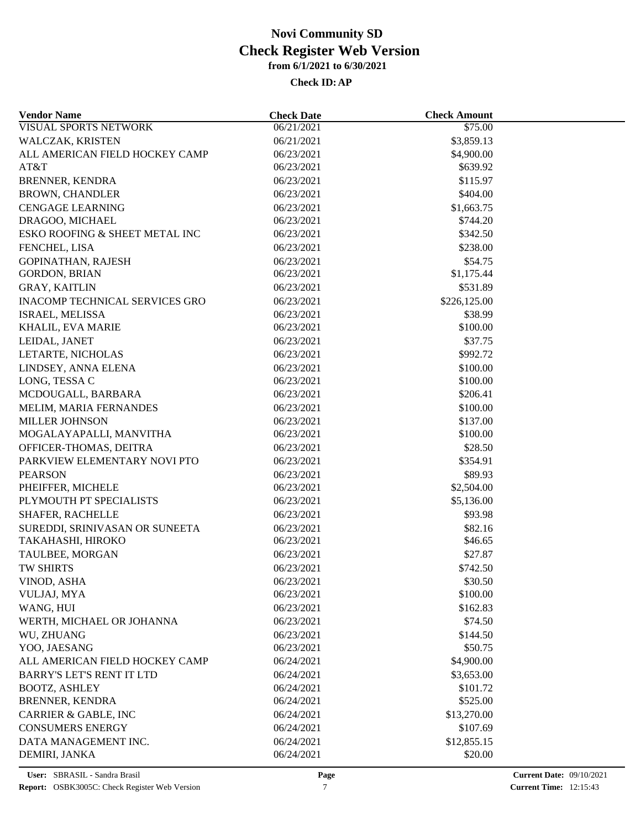| <b>Vendor Name</b>                                  | <b>Check Date</b>        | <b>Check Amount</b> |  |
|-----------------------------------------------------|--------------------------|---------------------|--|
| <b>VISUAL SPORTS NETWORK</b>                        | 06/21/2021               | \$75.00             |  |
| WALCZAK, KRISTEN                                    | 06/21/2021               | \$3,859.13          |  |
| ALL AMERICAN FIELD HOCKEY CAMP                      | 06/23/2021               | \$4,900.00          |  |
| AT&T                                                | 06/23/2021               | \$639.92            |  |
| <b>BRENNER, KENDRA</b>                              | 06/23/2021               | \$115.97            |  |
| <b>BROWN, CHANDLER</b>                              | 06/23/2021               | \$404.00            |  |
| <b>CENGAGE LEARNING</b>                             | 06/23/2021               | \$1,663.75          |  |
| DRAGOO, MICHAEL                                     | 06/23/2021               | \$744.20            |  |
| ESKO ROOFING & SHEET METAL INC                      | 06/23/2021               | \$342.50            |  |
| FENCHEL, LISA                                       | 06/23/2021               | \$238.00            |  |
| <b>GOPINATHAN, RAJESH</b>                           | 06/23/2021               | \$54.75             |  |
| <b>GORDON, BRIAN</b>                                | 06/23/2021               | \$1,175.44          |  |
| <b>GRAY, KAITLIN</b>                                | 06/23/2021               | \$531.89            |  |
| <b>INACOMP TECHNICAL SERVICES GRO</b>               | 06/23/2021               | \$226,125.00        |  |
| ISRAEL, MELISSA                                     | 06/23/2021               | \$38.99             |  |
| KHALIL, EVA MARIE                                   | 06/23/2021               | \$100.00            |  |
| LEIDAL, JANET                                       | 06/23/2021               | \$37.75             |  |
| LETARTE, NICHOLAS                                   | 06/23/2021               | \$992.72            |  |
| LINDSEY, ANNA ELENA                                 | 06/23/2021               | \$100.00            |  |
| LONG, TESSA C                                       | 06/23/2021               | \$100.00            |  |
| MCDOUGALL, BARBARA                                  | 06/23/2021               | \$206.41            |  |
| MELIM, MARIA FERNANDES                              | 06/23/2021               | \$100.00            |  |
| MILLER JOHNSON                                      | 06/23/2021               | \$137.00            |  |
| MOGALAYAPALLI, MANVITHA                             | 06/23/2021               | \$100.00            |  |
| OFFICER-THOMAS, DEITRA                              | 06/23/2021               | \$28.50             |  |
| PARKVIEW ELEMENTARY NOVI PTO                        | 06/23/2021               | \$354.91            |  |
| <b>PEARSON</b>                                      | 06/23/2021               | \$89.93             |  |
| PHEIFFER, MICHELE                                   | 06/23/2021               | \$2,504.00          |  |
| PLYMOUTH PT SPECIALISTS                             | 06/23/2021               | \$5,136.00          |  |
|                                                     |                          |                     |  |
| SHAFER, RACHELLE                                    | 06/23/2021               | \$93.98             |  |
| SUREDDI, SRINIVASAN OR SUNEETA<br>TAKAHASHI, HIROKO | 06/23/2021<br>06/23/2021 | \$82.16<br>\$46.65  |  |
|                                                     | 06/23/2021               |                     |  |
| TAULBEE, MORGAN<br><b>TW SHIRTS</b>                 | 06/23/2021               | \$27.87             |  |
|                                                     |                          | \$742.50            |  |
| VINOD, ASHA                                         | 06/23/2021               | \$30.50             |  |
| VULJAJ, MYA                                         | 06/23/2021               | \$100.00            |  |
| WANG, HUI                                           | 06/23/2021               | \$162.83            |  |
| WERTH, MICHAEL OR JOHANNA                           | 06/23/2021               | \$74.50             |  |
| WU, ZHUANG                                          | 06/23/2021               | \$144.50            |  |
| YOO, JAESANG                                        | 06/23/2021               | \$50.75             |  |
| ALL AMERICAN FIELD HOCKEY CAMP                      | 06/24/2021               | \$4,900.00          |  |
| <b>BARRY'S LET'S RENT IT LTD</b>                    | 06/24/2021               | \$3,653.00          |  |
| <b>BOOTZ, ASHLEY</b>                                | 06/24/2021               | \$101.72            |  |
| <b>BRENNER, KENDRA</b>                              | 06/24/2021               | \$525.00            |  |
| CARRIER & GABLE, INC                                | 06/24/2021               | \$13,270.00         |  |
| <b>CONSUMERS ENERGY</b>                             | 06/24/2021               | \$107.69            |  |
| DATA MANAGEMENT INC.                                | 06/24/2021               | \$12,855.15         |  |
| DEMIRI, JANKA                                       | 06/24/2021               | \$20.00             |  |